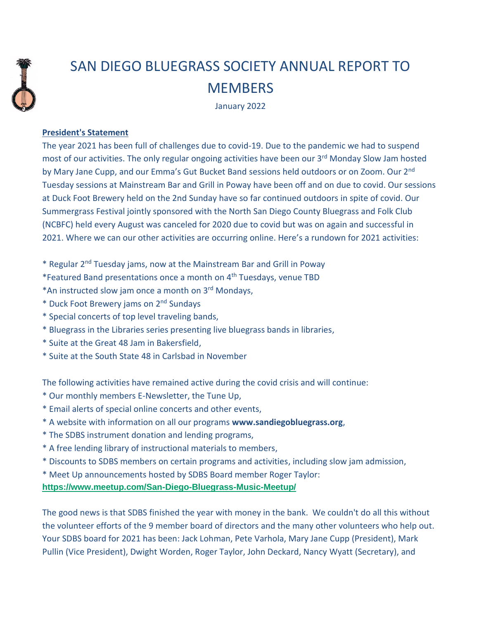

## SAN DIEGO BLUEGRASS SOCIETY ANNUAL REPORT TO **MEMBERS**

January 2022

## **President's Statement**

The year 2021 has been full of challenges due to covid-19. Due to the pandemic we had to suspend most of our activities. The only regular ongoing activities have been our 3<sup>rd</sup> Monday Slow Jam hosted by Mary Jane Cupp, and our Emma's Gut Bucket Band sessions held outdoors or on Zoom. Our 2<sup>nd</sup> Tuesday sessions at Mainstream Bar and Grill in Poway have been off and on due to covid. Our sessions at Duck Foot Brewery held on the 2nd Sunday have so far continued outdoors in spite of covid. Our Summergrass Festival jointly sponsored with the North San Diego County Bluegrass and Folk Club (NCBFC) held every August was canceled for 2020 due to covid but was on again and successful in 2021. Where we can our other activities are occurring online. Here's a rundown for 2021 activities:

- \* Regular 2<sup>nd</sup> Tuesday jams, now at the Mainstream Bar and Grill in Poway
- \*Featured Band presentations once a month on 4th Tuesdays, venue TBD
- \*An instructed slow jam once a month on 3rd Mondays,
- \* Duck Foot Brewery jams on 2nd Sundays
- \* Special concerts of top level traveling bands,
- \* Bluegrass in the Libraries series presenting live bluegrass bands in libraries,
- \* Suite at the Great 48 Jam in Bakersfield,
- \* Suite at the South State 48 in Carlsbad in November

The following activities have remained active during the covid crisis and will continue:

- \* Our monthly members E-Newsletter, the Tune Up,
- \* Email alerts of special online concerts and other events,
- \* A website with information on all our programs **www.sandiegobluegrass.org**,
- \* The SDBS instrument donation and lending programs,
- \* A free lending library of instructional materials to members,
- \* Discounts to SDBS members on certain programs and activities, including slow jam admission,
- \* Meet Up announcements hosted by SDBS Board member Roger Taylor:

## **<https://www.meetup.com/San-Diego-Bluegrass-Music-Meetup/>**

The good news is that SDBS finished the year with money in the bank. We couldn't do all this without the volunteer efforts of the 9 member board of directors and the many other volunteers who help out. Your SDBS board for 2021 has been: Jack Lohman, Pete Varhola, Mary Jane Cupp (President), Mark Pullin (Vice President), Dwight Worden, Roger Taylor, John Deckard, Nancy Wyatt (Secretary), and